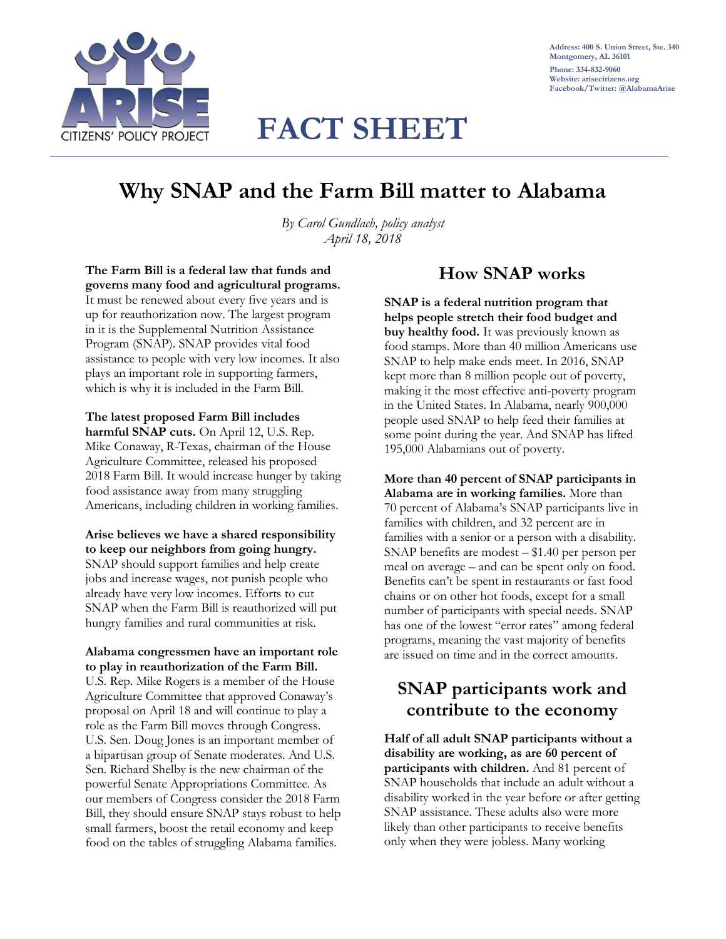

**Address: 400 S. Union Street, Ste. 340 Montgomery, AL 36101 Phone: 334-832-9060 Website: arisecitizens.org Facebook/Twitter: @AlabamaArise**

# **FACT SHEET**

# **Why SNAP and the Farm Bill matter to Alabama**

*By Carol Gundlach, policy analyst April 18, 2018*

**The Farm Bill is a federal law that funds and governs many food and agricultural programs.** It must be renewed about every five years and is up for reauthorization now. The largest program in it is the Supplemental Nutrition Assistance Program (SNAP). SNAP provides vital food assistance to people with very low incomes. It also plays an important role in supporting farmers, which is why it is included in the Farm Bill.

#### **The latest proposed Farm Bill includes harmful SNAP cuts.** On April 12, U.S. Rep.

Mike Conaway, R-Texas, chairman of the House Agriculture Committee, released his proposed 2018 Farm Bill. It would increase hunger by taking food assistance away from many struggling Americans, including children in working families.

### **Arise believes we have a shared responsibility to keep our neighbors from going hungry.** SNAP should support families and help create jobs and increase wages, not punish people who already have very low incomes. Efforts to cut SNAP when the Farm Bill is reauthorized will put

hungry families and rural communities at risk. **Alabama congressmen have an important role** 

# **to play in reauthorization of the Farm Bill.**

U.S. Rep. Mike Rogers is a member of the House Agriculture Committee that approved Conaway's proposal on April 18 and will continue to play a role as the Farm Bill moves through Congress. U.S. Sen. Doug Jones is an important member of a bipartisan group of Senate moderates. And U.S. Sen. Richard Shelby is the new chairman of the powerful Senate Appropriations Committee. As our members of Congress consider the 2018 Farm Bill, they should ensure SNAP stays robust to help small farmers, boost the retail economy and keep food on the tables of struggling Alabama families.

### **How SNAP works**

**SNAP is a federal nutrition program that helps people stretch their food budget and buy healthy food.** It was previously known as food stamps. More than 40 million Americans use SNAP to help make ends meet. In 2016, SNAP kept more than 8 million people out of poverty, making it the most effective anti-poverty program in the United States. In Alabama, nearly 900,000 people used SNAP to help feed their families at some point during the year. And SNAP has lifted 195,000 Alabamians out of poverty.

#### **More than 40 percent of SNAP participants in Alabama are in working families.** More than 70 percent of Alabama's SNAP participants live in families with children, and 32 percent are in families with a senior or a person with a disability. SNAP benefits are modest – \$1.40 per person per meal on average – and can be spent only on food. Benefits can't be spent in restaurants or fast food chains or on other hot foods, except for a small number of participants with special needs. SNAP has one of the lowest "error rates" among federal programs, meaning the vast majority of benefits are issued on time and in the correct amounts.

### **SNAP participants work and contribute to the economy**

**Half of all adult SNAP participants without a disability are working, as are 60 percent of participants with children.** And 81 percent of SNAP households that include an adult without a disability worked in the year before or after getting SNAP assistance. These adults also were more likely than other participants to receive benefits only when they were jobless. Many working